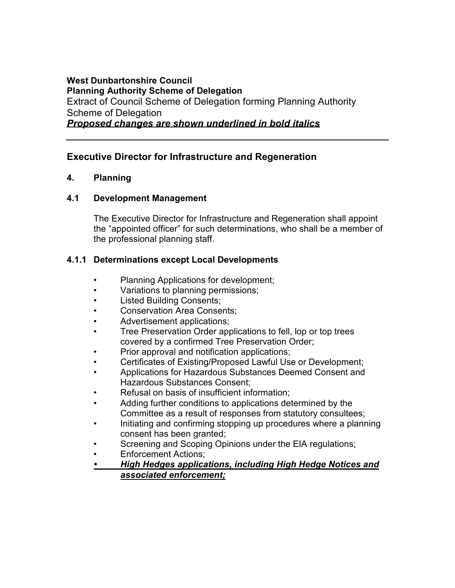#### **West Dunbartonshire Council Planning Authority Scheme of Delegation**  Extract of Council Scheme of Delegation forming Planning Authority Scheme of Delegation *Proposed changes are shown underlined in bold italics*

# **Executive Director for Infrastructure and Regeneration**

### **4. Planning**

### **4.1 Development Management**

 The Executive Director for Infrastructure and Regeneration shall appoint the "appointed officer" for such determinations, who shall be a member of the professional planning staff.

# **4.1.1 Determinations except Local Developments**

- Planning Applications for development;
- Variations to planning permissions;
- Listed Building Consents;
- Conservation Area Consents;
- Advertisement applications;
- covered by a confirmed Tree Preservation Order; • Tree Preservation Order applications to fell, lop or top trees
- Prior approval and notification applications;
- Certificates of Existing/Proposed Lawful Use or Development;
- • Applications for Hazardous Substances Deemed Consent and Hazardous Substances Consent;
- Refusal on basis of insufficient information;
- • Adding further conditions to applications determined by the Committee as a result of responses from statutory consultees;
- • Initiating and confirming stopping up procedures where a planning consent has been granted;
- Screening and Scoping Opinions under the EIA regulations;
- Enforcement Actions;
- *High Hedges applications, including High Hedge Notices and associated enforcement;*